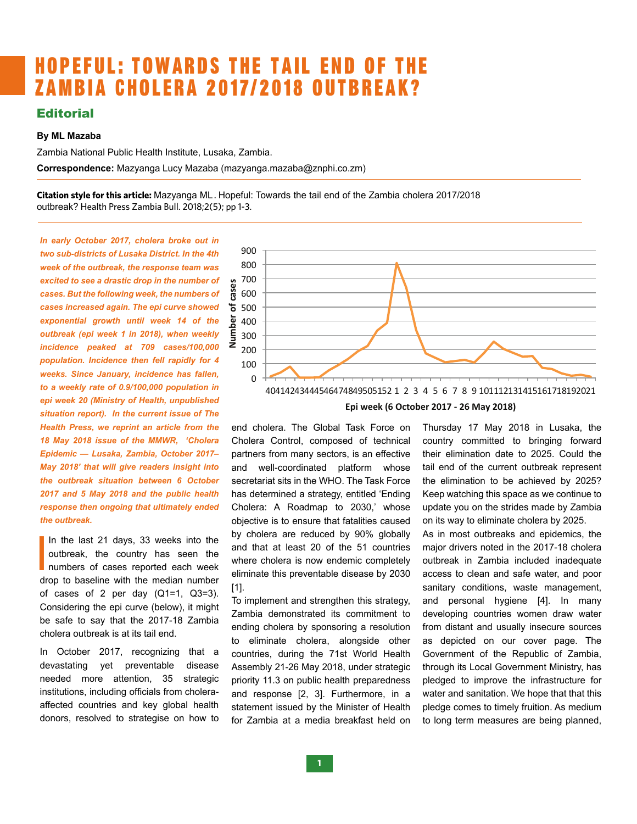## HOPEFUL: TOWARDS THE TAIL END OF THE ZAMBIA CHOLERA 2017/2018 OUTBREAK?  $\mathcal{S}$  indicating an exponential  $\mathcal{S}$  in  $\mathcal{S}$

## **Editorial**

## **By ML Mazaba**

Zambia National Public Health Institute, Lusaka, Zambia. *2017–May 2018'* that will give our readers more insight of the outbreak situation between 6th October 

**Correspondence:** Mazyanga Lucy Mazaba (mazyanga.mazaba@znphi.co.zm)

**Citation style for this article:** Mazyanga ML . Hopeful: Towards the tail end of the Zambia cholera 2017/2018 outbreak? Health Press Zambia Bull. 2018;2(5); pp 1-3. incidence  $\mathcal{L}$  per dianometric cases of  $\mathcal{L}$  per diagonal personal personal personal personal personal personal personal personal personal personal personal personal personal personal personal personal personal pe

*In early October 2017, cholera broke out in two sub-districts of Lusaka District. In the 4th week of the outbreak, the response team was excited to see a drastic drop in the number of cases. But the following week, the numbers of cases increased again. The epi curve showed exponential growth until week 14 of the outbreak (epi week 1 in 2018), when weekly incidence peaked at 709 cases/100,000 population. Incidence then fell rapidly for 4 weeks. Since January, incidence has fallen, to a weekly rate of 0.9/100,000 population in epi week 20 (Ministry of Health, unpublished situation report). In the current issue of The Health Press, we reprint an article from the 18 May 2018 issue of the MMWR, 'Cholera Epidemic — Lusaka, Zambia, October 2017– May 2018' that will give readers insight into the outbreak situation between 6 October 2017 and 5 May 2018 and the public health response then ongoing that ultimately ended the outbreak.* 

In the last 21 days, 33 weeks into the outbreak, the country has seen the numbers of cases reported each week drop to baseline with the median number In the last 21 days, 33 weeks into the outbreak, the country has seen the numbers of cases reported each week of cases of 2 per day (Q1=1, Q3=3). Considering the epi curve (below), it might be safe to say that the 2017-18 Zambia cholera outbreak is at its tail end.

In October 2017, recognizing that a devastating yet preventable disease needed more attention, 35 strategic institutions, including officials from choleraaffected countries and key global health donors, resolved to strategise on how to



safe to safety that the  $\chi$  matrix  $\chi$  and  $\chi$  is tailor to  $\chi$  at  $\chi$  and  $\chi$  and  $\chi$ 

end cholera. The Global Task Force on Cholera Control, composed of technical a choicid composed of teaming county committed to singing formated control of the choicid control, composed of teaming county committed to 2025. Could the and well-coordinated platform whose er secretariat sits in the WHO. The Task Force the elimination to be achieved by 2025? has determined a strategy, entitled 'Ending ed Cholera: A Roadmap to 2030,' whose update you on the strides made by Zambia objective is to ensure that fatalities caused on its way to eliminate cholera by 2025. by cholera are reduced by 90% globally  $\frac{16}{20}$  and that at least 20 of the 51 countries major drivers noted in the 2017where cholera is now endemic completely eliminate this preventable disease by 2030 [1].  $\frac{1}{10}$  and well-coordinated platform whose tail end of the current outbreak represent th has determined a strategy, entitled 'Ending Keep watching this space as we continue to

To implement and strengthen this strategy, Zambia demonstrated its commitment to ending cholera by sponsoring a resolution to eliminate cholera, alongside other countries, during the 71st World Health Assembly 21-26 May 2018, under strategic priority 11.3 on public health preparedness and response [2, 3]. Furthermore, in a statement issued by the Minister of Health for Zambia at a media breakfast held on Thursday 17 May 2018 in Lusaka, the country committed to bringing forward their elimination date to 2025. Could the the elimination to be achieved by 2025? update you on the strides made by Zambia on its way to eliminate cholera by 2025.

As in most outbreaks and epidemics, the major drivers noted in the 2017-18 cholera outbreak in Zambia included inadequate access to clean and safe water, and poor sanitary conditions, waste management, and personal hygiene [4]. In many developing countries women draw water from distant and usually insecure sources as depicted on our cover page. The Government of the Republic of Zambia, through its Local Government Ministry, has pledged to improve the infrastructure for water and sanitation. We hope that that this pledge comes to timely fruition. As medium to long term measures are being planned,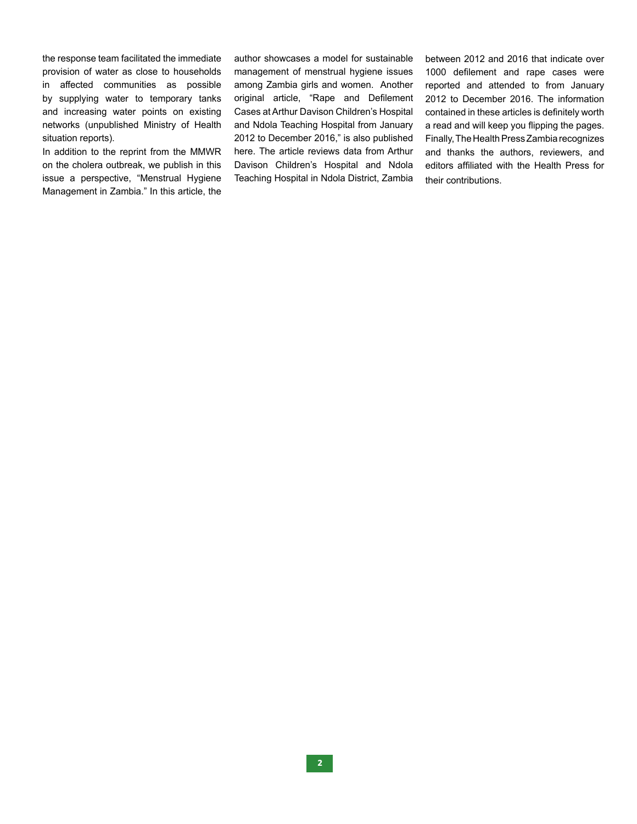the response team facilitated the immediate provision of water as close to households in affected communities as possible by supplying water to temporary tanks and increasing water points on existing networks (unpublished Ministry of Health situation reports).

In addition to the reprint from the MMWR on the cholera outbreak, we publish in this issue a perspective, "Menstrual Hygiene Management in Zambia." In this article, the author showcases a model for sustainable management of menstrual hygiene issues among Zambia girls and women. Another original article, "Rape and Defilement Cases at Arthur Davison Children's Hospital and Ndola Teaching Hospital from January 2012 to December 2016," is also published here. The article reviews data from Arthur Davison Children's Hospital and Ndola Teaching Hospital in Ndola District, Zambia between 2012 and 2016 that indicate over 1000 defilement and rape cases were reported and attended to from January 2012 to December 2016. The information contained in these articles is definitely worth a read and will keep you flipping the pages. Finally, The Health Press Zambia recognizes and thanks the authors, reviewers, and editors affiliated with the Health Press for their contributions.